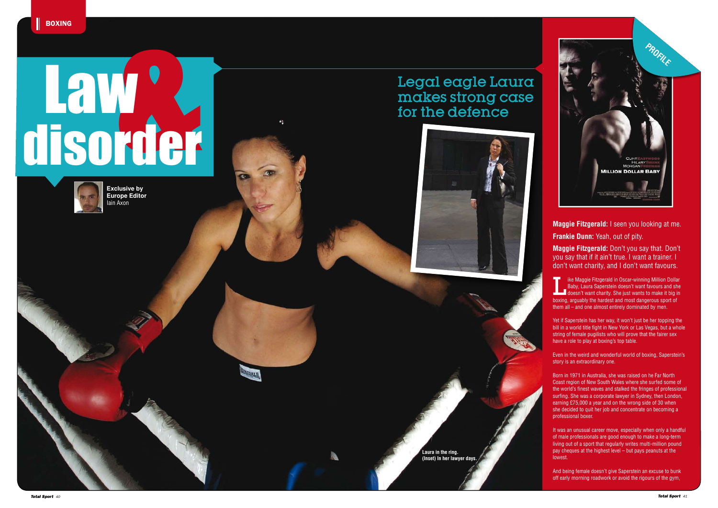**Laura in the ring. (Inset) In her lawyer days.** **Maggie Fitzgerald:** I seen you looking at me. **Frankie Dunn:** Yeah, out of pity.

**Maggie Fitzgerald:** Don't you say that. Don't you say that if it ain't true. I want a trainer. I don't want charity, and I don't want favours.

Ike Maggie Fitzgerald in Oscar-winning Million Dollar<br>Baby, Laura Saperstein doesn't want favours and she<br>doesn't want charity. She just wants to make it big in Baby, Laura Saperstein doesn't want favours and she boxing, arguably the hardest and most dangerous sport of them all – and one almost entirely dominated by men.

Yet if Saperstein has her way, it won't just be her topping the bill in a world title fight in New York or Las Vegas, but a whole string of female pugilists who will prove that the fairer sex have a role to play at boxing's top table.

Even in the weird and wonderful world of boxing, Saperstein's story is an extraordinary one.

Born in 1971 in Australia, she was raised on he Far North Coast region of New South Wales where she surfed some of the world's finest waves and stalked the fringes of professional surfing. She was a corporate lawyer in Sydney, then London, earning £75,000 a year and on the wrong side of 30 when she decided to quit her job and concentrate on becoming a professional boxer.

It was an unusual career move, especially when only a handful of male professionals are good enough to make a long-term living out of a sport that regularly writes multi-million pound pay cheques at the highest level – but pays peanuts at the lowest.

And being female doesn't give Saperstein an excuse to bunk off early morning roadwork or avoid the rigours of the gym,

## Legal eagle Laura makes strong case for the defence

# disorder Law

 $\mathcal{L}_1$ 

DALR



**Exclusive by Europe Editor**  Iain Axon

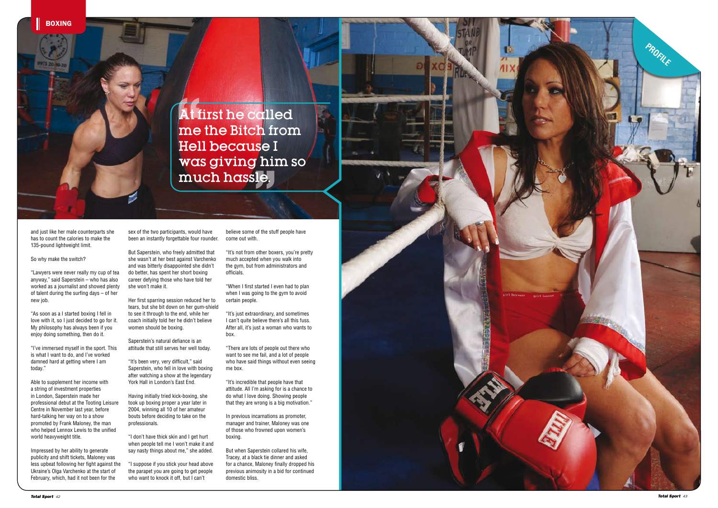At first he called me the Bitch from Hell because I was giving him so much hassle.

and just like her male counterparts she has to count the calories to make the 135-pound lightweight limit.

So why make the switch?

"Lawyers were never really my cup of tea anyway," said Saperstein – who has also worked as a journalist and showed plenty of talent during the surfing days – of her new job.

"As soon as a I started boxing I fell in love with it, so I just decided to go for it. My philosophy has always been if you enjoy doing something, then do it.

"I've immersed myself in the sport. This is what I want to do, and I've worked damned hard at getting where I am today."

Able to supplement her income with a string of investment properties in London, Saperstein made her professional debut at the Tooting Leisure Centre in November last year, before hard-talking her way on to a show promoted by Frank Maloney, the man who helped Lennox Lewis to the unified world heavyweight title.

Impressed by her ability to generate publicity and shift tickets, Maloney was less upbeat following her fight against the Ukraine's Olga Varchenko at the start of February, which, had it not been for the

sex of the two participants, would have been an instantly forgettable four rounder.

But Saperstein, who freely admitted that she wasn't at her best against Varchenko and was bitterly disappointed she didn't do better, has spent her short boxing career defying those who have told her she won't make it.

Her first sparring session reduced her to tears, but she bit down on her gum-shield to see it through to the end, while her coach initially told her he didn't believe women should be boxing.

Saperstein's natural defiance is an attitude that still serves her well today.

"It's been very, very difficult," said Saperstein, who fell in love with boxing after watching a show at the legendary York Hall in London's East End.

Having initially tried kick-boxing, she took up boxing proper a year later in 2004, winning all 10 of her amateur bouts before deciding to take on the professionals.

"I don't have thick skin and I get hurt when people tell me I won't make it and say nasty things about me," she added.

"I suppose if you stick your head above the parapet you are going to get people who want to knock it off, but I can't

believe some of the stuff people have come out with.

"It's not from other boxers, you're pretty much accepted when you walk into the gym, but from administrators and officials.

"When I first started I even had to plan when I was going to the gym to avoid certain people.

"It's just extraordinary, and sometimes I can't quite believe there's all this fuss. After all, it's just a woman who wants to box.

"There are lots of people out there who want to see me fail, and a lot of people who have said things without even seeing me box.

"It's incredible that people have that attitude. All I'm asking for is a chance to do what I love doing. Showing people that they are wrong is a big motivation."

In previous incarnations as promoter, manager and trainer, Maloney was one of those who frowned upon women's boxing.

But when Saperstein collared his wife, Tracey, at a black tie dinner and asked for a chance, Maloney finally dropped his previous animosity in a bid for continued domestic bliss.